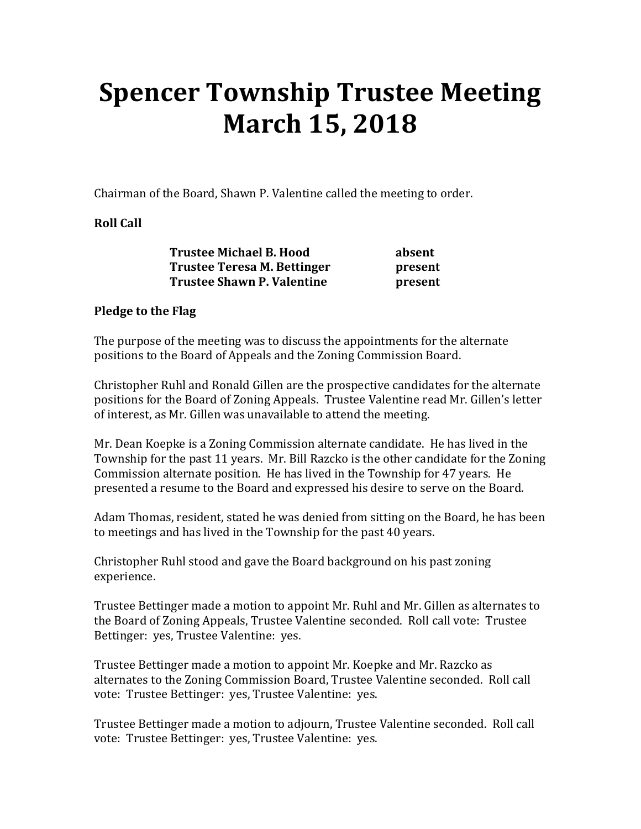## **Spencer Township Trustee Meeting March 15, 2018**

Chairman of the Board, Shawn P. Valentine called the meeting to order.

## **Roll Call**

| <b>Trustee Michael B. Hood</b>    | absent  |
|-----------------------------------|---------|
| Trustee Teresa M. Bettinger       | present |
| <b>Trustee Shawn P. Valentine</b> | present |

## **Pledge to the Flag**

The purpose of the meeting was to discuss the appointments for the alternate positions to the Board of Appeals and the Zoning Commission Board.

Christopher Ruhl and Ronald Gillen are the prospective candidates for the alternate positions for the Board of Zoning Appeals. Trustee Valentine read Mr. Gillen's letter of interest, as Mr. Gillen was unavailable to attend the meeting.

Mr. Dean Koepke is a Zoning Commission alternate candidate. He has lived in the Township for the past 11 years. Mr. Bill Razcko is the other candidate for the Zoning Commission alternate position. He has lived in the Township for 47 years. He presented a resume to the Board and expressed his desire to serve on the Board.

Adam Thomas, resident, stated he was denied from sitting on the Board, he has been to meetings and has lived in the Township for the past 40 years.

Christopher Ruhl stood and gave the Board background on his past zoning experience.

Trustee Bettinger made a motion to appoint Mr. Ruhl and Mr. Gillen as alternates to the Board of Zoning Appeals, Trustee Valentine seconded. Roll call vote: Trustee Bettinger: yes, Trustee Valentine: yes.

Trustee Bettinger made a motion to appoint Mr. Koepke and Mr. Razcko as alternates to the Zoning Commission Board, Trustee Valentine seconded. Roll call vote: Trustee Bettinger: yes, Trustee Valentine: yes.

Trustee Bettinger made a motion to adjourn, Trustee Valentine seconded. Roll call vote: Trustee Bettinger: yes, Trustee Valentine: yes.